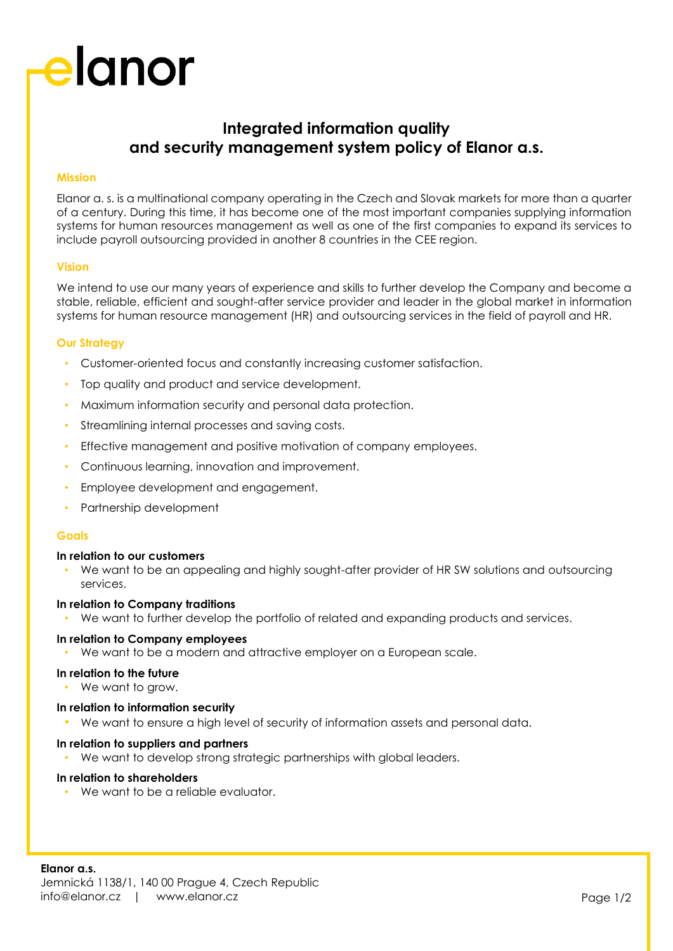# elanor

### **Integrated information quality and security management system policy of Elanor a.s.**

### **Mission**

Elanor a. s. is a multinational company operating in the Czech and Slovak markets for more than a quarter of a century. During this time, it has become one of the most important companies supplying information systems for human resources management as well as one of the first companies to expand its services to include payroll outsourcing provided in another 8 countries in the CEE region.

#### **Vision**

We intend to use our many years of experience and skills to further develop the Company and become a stable, reliable, efficient and sought-after service provider and leader in the global market in information systems for human resource management (HR) and outsourcing services in the field of payroll and HR.

#### **Our Strategy**

- Customer-oriented focus and constantly increasing customer satisfaction.
- Top quality and product and service development.
- Maximum information security and personal data protection.
- Streamlining internal processes and saving costs.
- Effective management and positive motivation of company employees.
- Continuous learning, innovation and improvement.
- Employee development and engagement.
- Partnership development

#### **Goals**

#### **In relation to our customers**

• We want to be an appealing and highly sought-after provider of HR SW solutions and outsourcing services.

#### **In relation to Company traditions**

• We want to further develop the portfolio of related and expanding products and services.

#### **In relation to Company employees**

• We want to be a modern and attractive employer on a European scale.

#### **In relation to the future**

• We want to arow.

#### **In relation to information security**

• We want to ensure a high level of security of information assets and personal data.

#### **In relation to suppliers and partners**

We want to develop strong strategic partnerships with global leaders.

#### **In relation to shareholders**

• We want to be a reliable evaluator.